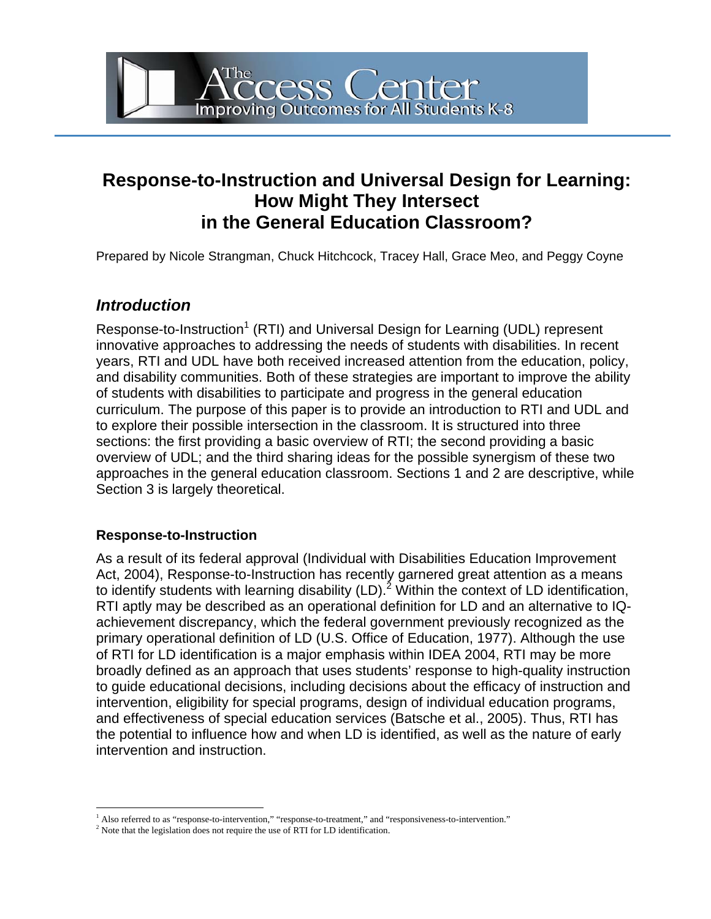# **Response-to-Instruction and Universal Design for Learning: How Might They Intersect in the General Education Classroom?**

Access Center<br>Improving Outcomes for All Students K-8

Prepared by Nicole Strangman, Chuck Hitchcock, Tracey Hall, Grace Meo, and Peggy Coyne

### *Introduction*

Response-to-Instruction<sup>[1](#page-0-0)</sup> (RTI) and Universal Design for Learning (UDL) represent innovative approaches to addressing the needs of students with disabilities. In recent years, RTI and UDL have both received increased attention from the education, policy, and disability communities. Both of these strategies are important to improve the ability of students with disabilities to participate and progress in the general education curriculum. The purpose of this paper is to provide an introduction to RTI and UDL and to explore their possible intersection in the classroom. It is structured into three sections: the first providing a basic overview of RTI; the second providing a basic overview of UDL; and the third sharing ideas for the possible synergism of these two approaches in the general education classroom. Sections 1 and 2 are descriptive, while Section 3 is largely theoretical.

#### **Response-to-Instruction**

As a result of its federal approval (Individual with Disabilities Education Improvement Act, 2004), Response-to-Instruction has recently garnered great attention as a means to identify students with learning disability (LD).<sup>[2](#page-0-1)</sup> Within the context of LD identification, RTI aptly may be described as an operational definition for LD and an alternative to IQachievement discrepancy, which the federal government previously recognized as the primary operational definition of LD (U.S. Office of Education, 1977). Although the use of RTI for LD identification is a major emphasis within IDEA 2004, RTI may be more broadly defined as an approach that uses students' response to high-quality instruction to guide educational decisions, including decisions about the efficacy of instruction and intervention, eligibility for special programs, design of individual education programs, and effectiveness of special education services (Batsche et al., 2005). Thus, RTI has the potential to influence how and when LD is identified, as well as the nature of early intervention and instruction.

<sup>|&</sup>lt;br>|<br>| Also referred to as "response-to-intervention," "response-to-treatment," and "responsiveness-to-intervention."

<span id="page-0-1"></span><span id="page-0-0"></span> $2$  Note that the legislation does not require the use of RTI for LD identification.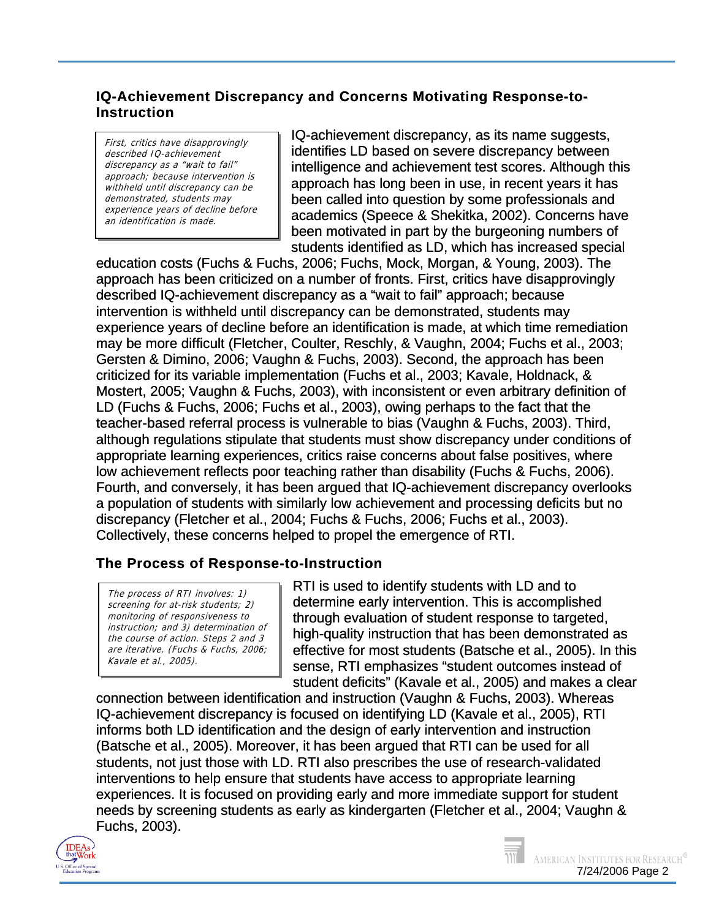#### **IQ-Achievement Discrepancy and Concerns Motivating Response-to-Instruction**

First, critics have disapprovingly described IQ-achievement discrepancy as a "wait to fail" approach; because intervention is withheld until discrepancy can be an identification is made. demonstrated, students may experience years of decline before IQ-achievement discrepancy, as its name suggests, identifies LD based on severe discrepancy between intelligence and achievement test scores. Although this approach has long been in use, in recent years it has been called into question by some professionals and academics (Speece & Shekitka, 2002). Concerns have been motivated in part by the burgeoning numbers of students identified as LD, which has increased special

education costs (Fuchs & Fuchs, 2006; Fuchs, Mock, Morgan, & Young, 2003). The approach has been criticized on a number of fronts. First, critics have disapprovingly described IQ-achievement discrepancy as a "wait to fail" approach; because intervention is withheld until discrepancy can be demonstrated, students may experience years of decline before an identification is made, at which time remediation may be more difficult (Fletcher, Coulter, Reschly, & Vaughn, 2004; Fuchs et al., 2003; Gersten & Dimino, 2006; Vaughn & Fuchs, 2003). Second, the approach has been criticized for its variable implementation (Fuchs et al., 2003; Kavale, Holdnack, & Mostert, 2005; Vaughn & Fuchs, 2003), with inconsistent or even arbitrary definition of LD (Fuchs & Fuchs, 2006; Fuchs et al., 2003), owing perhaps to the fact that the teacher-based referral process is vulnerable to bias (Vaughn & Fuchs, 2003). Third, although regulations stipulate that students must show discrepancy under conditions of appropriate learning experiences, critics raise concerns about false positives, where low achievement reflects poor teaching rather than disability (Fuchs & Fuchs, 2006). Fourth, and conversely, it has been argued that IQ-achievement discrepancy overlooks a population of students with similarly low achievement and processing deficits but no discrepancy (Fletcher et al., 2004; Fuchs & Fuchs, 2006; Fuchs et al., 2003). Collectively, these concerns helped to propel the emergence of RTI.

#### **The Process of Response-to-Instruction**

The process of RTI involves: 1) screening for at-risk students; 2) monitoring of responsiveness to instruction; and 3) determination of the course of action. Steps 2 and 3 are iterative. (Fuchs & Fuchs, 2006; Kavale et al., 2005).

RTI is used to identify students with LD and to determine early intervention. This is accomplished through evaluation of student response to targeted, high-quality instruction that has been demonstrated as effective for most students (Batsche et al., 2005). In this sense, RTI emphasizes "student outcomes instead of student deficits" (Kavale et al., 2005) and makes a clear

connection between identification and instruction (Vaughn & Fuchs, 2003). Whereas IQ-achievement discrepancy is focused on identifying LD (Kavale et al., 2005), RTI informs both LD identification and the design of early intervention and instruction (Batsche et al., 2005). Moreover, it has been argued that RTI can be used for all students, not just those with LD. RTI also prescribes the use of research-validated interventions to help ensure that students have access to appropriate learning experiences. It is focused on providing early and more immediate support for student needs by screening students as early as kindergarten (Fletcher et al., 2004; Vaughn & Fuchs, 2003).



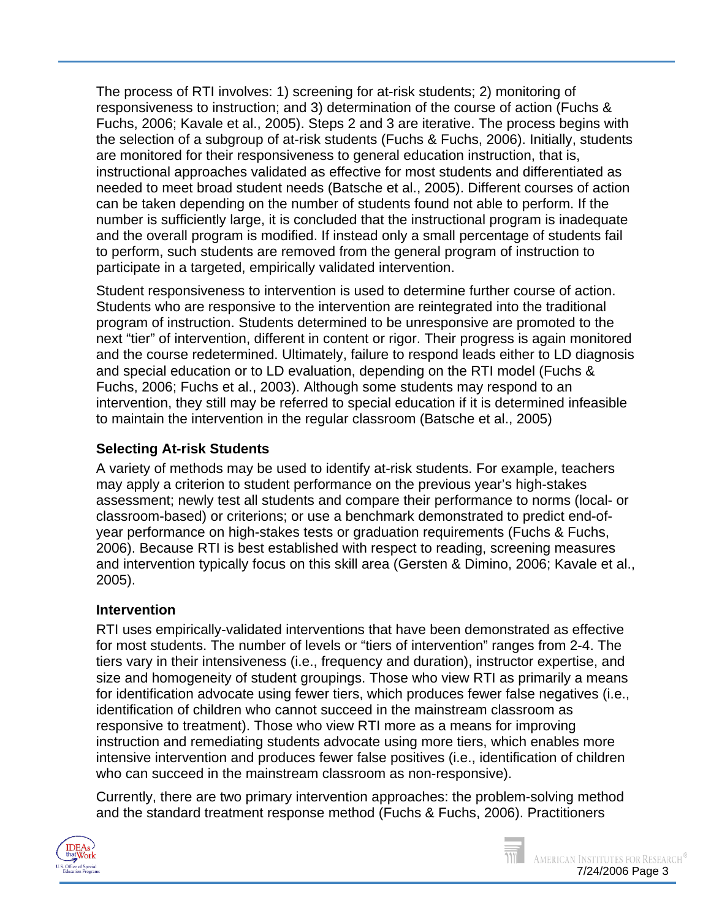The process of RTI involves: 1) screening for at-risk students; 2) monitoring of responsiveness to instruction; and 3) determination of the course of action (Fuchs & Fuchs, 2006; Kavale et al., 2005). Steps 2 and 3 are iterative. The process begins with the selection of a subgroup of at-risk students (Fuchs & Fuchs, 2006). Initially, students are monitored for their responsiveness to general education instruction, that is, instructional approaches validated as effective for most students and differentiated as needed to meet broad student needs (Batsche et al., 2005). Different courses of action can be taken depending on the number of students found not able to perform. If the number is sufficiently large, it is concluded that the instructional program is inadequate and the overall program is modified. If instead only a small percentage of students fail to perform, such students are removed from the general program of instruction to participate in a targeted, empirically validated intervention.

Student responsiveness to intervention is used to determine further course of action. Students who are responsive to the intervention are reintegrated into the traditional program of instruction. Students determined to be unresponsive are promoted to the next "tier" of intervention, different in content or rigor. Their progress is again monitored and the course redetermined. Ultimately, failure to respond leads either to LD diagnosis and special education or to LD evaluation, depending on the RTI model (Fuchs & Fuchs, 2006; Fuchs et al., 2003). Although some students may respond to an intervention, they still may be referred to special education if it is determined infeasible to maintain the intervention in the regular classroom (Batsche et al., 2005)

### **Selecting At-risk Students**

A variety of methods may be used to identify at-risk students. For example, teachers may apply a criterion to student performance on the previous year's high-stakes assessment; newly test all students and compare their performance to norms (local- or classroom-based) or criterions; or use a benchmark demonstrated to predict end-ofyear performance on high-stakes tests or graduation requirements (Fuchs & Fuchs, 2006). Because RTI is best established with respect to reading, screening measures and intervention typically focus on this skill area (Gersten & Dimino, 2006; Kavale et al., 2005).

#### **Intervention**

RTI uses empirically-validated interventions that have been demonstrated as effective for most students. The number of levels or "tiers of intervention" ranges from 2-4. The tiers vary in their intensiveness (i.e., frequency and duration), instructor expertise, and size and homogeneity of student groupings. Those who view RTI as primarily a means for identification advocate using fewer tiers, which produces fewer false negatives (i.e., identification of children who cannot succeed in the mainstream classroom as responsive to treatment). Those who view RTI more as a means for improving instruction and remediating students advocate using more tiers, which enables more intensive intervention and produces fewer false positives (i.e., identification of children who can succeed in the mainstream classroom as non-responsive).

Currently, there are two primary intervention approaches: the problem-solving method and the standard treatment response method (Fuchs & Fuchs, 2006). Practitioners



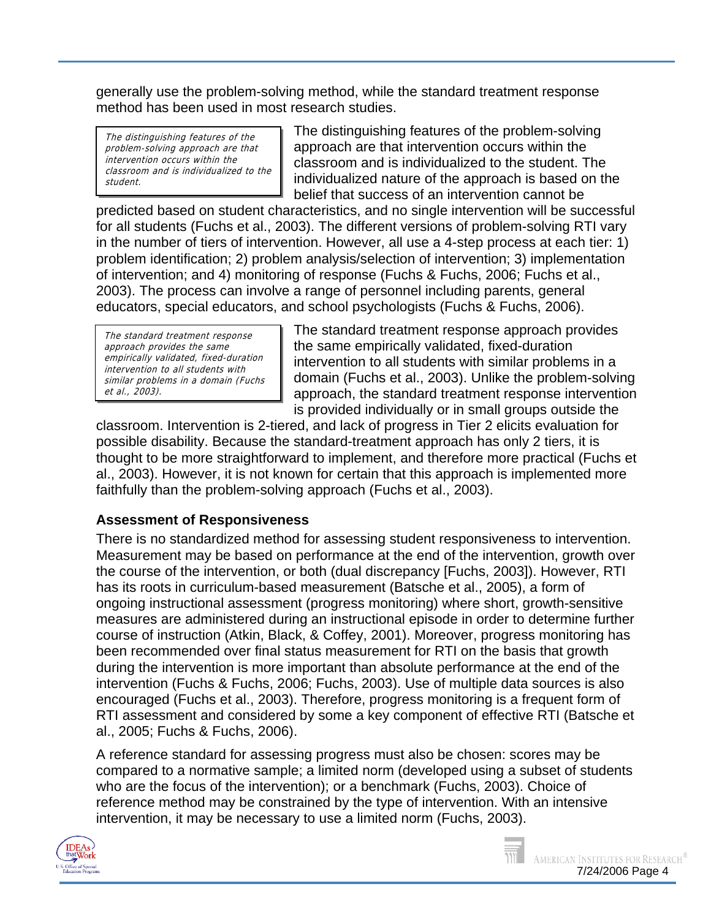generally use the problem-solving method, while the standard treatment response method has been used in most research studies.

The distinguishing features of the problem-solving approach are that intervention occurs within the classroom and is individualized to the student.

The distinguishing features of the problem-solving approach are that intervention occurs within the classroom and is individualized to the student. The individualized nature of the approach is based on the belief that success of an intervention cannot be

predicted based on student characteristics, and no single intervention will be successful for all students (Fuchs et al., 2003). The different versions of problem-solving RTI vary in the number of tiers of intervention. However, all use a 4-step process at each tier: 1) problem identification; 2) problem analysis/selection of intervention; 3) implementation of intervention; and 4) monitoring of response (Fuchs & Fuchs, 2006; Fuchs et al., 2003). The process can involve a range of personnel including parents, general educators, special educators, and school psychologists (Fuchs & Fuchs, 2006).

The standard treatment response approach provides the same empirica ly validated, fixed-duration l intervention to all students with similar problems in a domain (Fuchs et al. , 2003).

The standard treatment response approach provides the same empirically validated, fixed-duration intervention to all students with similar problems in a domain (Fuchs et al., 2003). Unlike the problem-solving approach, the standard treatment response intervention is provided individually or in small groups outside the

classroom. Intervention is 2-tiered, and lack of progress in Tier 2 elicits evaluation for possible disability. Because the standard-treatment approach has only 2 tiers, it is thought to be more straightforward to implement, and therefore more practical (Fuchs et al., 2003). However, it is not known for certain that this approach is implemented more faithfully than the problem-solving approach (Fuchs et al., 2003).

### **Assessment of Responsiveness**

There is no standardized method for assessing student responsiveness to intervention. Measurement may be based on performance at the end of the intervention, growth over the course of the intervention, or both (dual discrepancy [Fuchs, 2003]). However, RTI has its roots in curriculum-based measurement (Batsche et al., 2005), a form of ongoing instructional assessment (progress monitoring) where short, growth-sensitive measures are administered during an instructional episode in order to determine further course of instruction (Atkin, Black, & Coffey, 2001). Moreover, progress monitoring has been recommended over final status measurement for RTI on the basis that growth during the intervention is more important than absolute performance at the end of the intervention (Fuchs & Fuchs, 2006; Fuchs, 2003). Use of multiple data sources is also encouraged (Fuchs et al., 2003). Therefore, progress monitoring is a frequent form of RTI assessment and considered by some a key component of effective RTI (Batsche et al., 2005; Fuchs & Fuchs, 2006).

A reference standard for assessing progress must also be chosen: scores may be compared to a normative sample; a limited norm (developed using a subset of students who are the focus of the intervention); or a benchmark (Fuchs, 2003). Choice of reference method may be constrained by the type of intervention. With an intensive intervention, it may be necessary to use a limited norm (Fuchs, 2003).



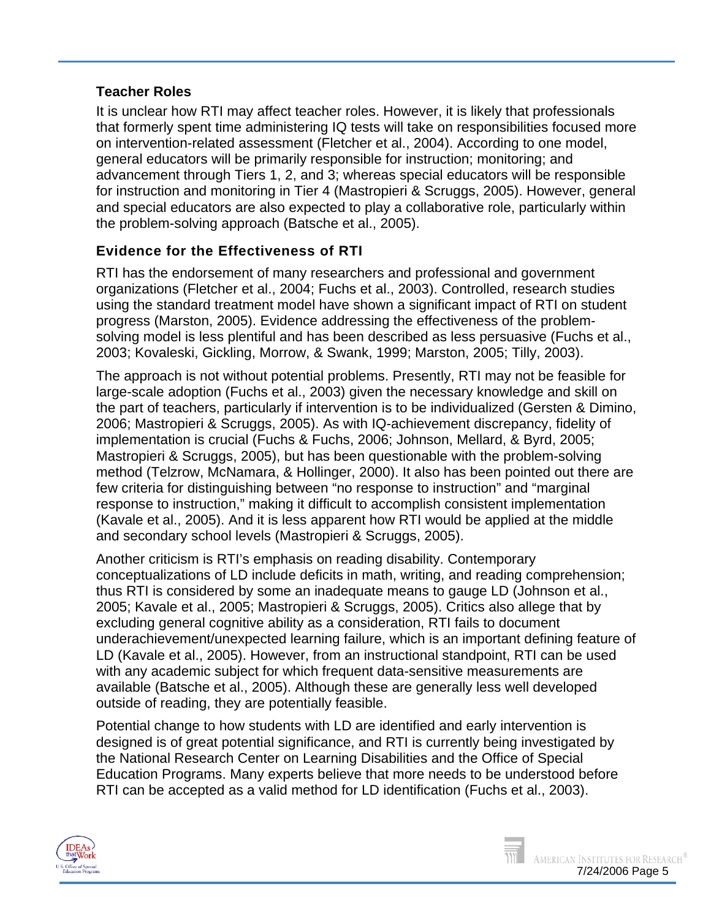#### **Teacher Roles**

It is unclear how RTI may affect teacher roles. However, it is likely that professionals that formerly spent time administering IQ tests will take on responsibilities focused more on intervention-related assessment (Fletcher et al., 2004). According to one model, general educators will be primarily responsible for instruction; monitoring; and advancement through Tiers 1, 2, and 3; whereas special educators will be responsible for instruction and monitoring in Tier 4 (Mastropieri & Scruggs, 2005). However, general and special educators are also expected to play a collaborative role, particularly within the problem-solving approach (Batsche et al., 2005).

### **Evidence for the Effectiveness of RTI**

RTI has the endorsement of many researchers and professional and government organizations (Fletcher et al., 2004; Fuchs et al., 2003). Controlled, research studies using the standard treatment model have shown a significant impact of RTI on student progress (Marston, 2005). Evidence addressing the effectiveness of the problemsolving model is less plentiful and has been described as less persuasive (Fuchs et al., 2003; Kovaleski, Gickling, Morrow, & Swank, 1999; Marston, 2005; Tilly, 2003).

The approach is not without potential problems. Presently, RTI may not be feasible for large-scale adoption (Fuchs et al., 2003) given the necessary knowledge and skill on the part of teachers, particularly if intervention is to be individualized (Gersten & Dimino, 2006; Mastropieri & Scruggs, 2005). As with IQ-achievement discrepancy, fidelity of implementation is crucial (Fuchs & Fuchs, 2006; Johnson, Mellard, & Byrd, 2005; Mastropieri & Scruggs, 2005), but has been questionable with the problem-solving method (Telzrow, McNamara, & Hollinger, 2000). It also has been pointed out there are few criteria for distinguishing between "no response to instruction" and "marginal response to instruction," making it difficult to accomplish consistent implementation (Kavale et al., 2005). And it is less apparent how RTI would be applied at the middle and secondary school levels (Mastropieri & Scruggs, 2005).

Another criticism is RTI's emphasis on reading disability. Contemporary conceptualizations of LD include deficits in math, writing, and reading comprehension; thus RTI is considered by some an inadequate means to gauge LD (Johnson et al., 2005; Kavale et al., 2005; Mastropieri & Scruggs, 2005). Critics also allege that by excluding general cognitive ability as a consideration, RTI fails to document underachievement/unexpected learning failure, which is an important defining feature of LD (Kavale et al., 2005). However, from an instructional standpoint, RTI can be used with any academic subject for which frequent data-sensitive measurements are available (Batsche et al., 2005). Although these are generally less well developed outside of reading, they are potentially feasible.

Potential change to how students with LD are identified and early intervention is designed is of great potential significance, and RTI is currently being investigated by the National Research Center on Learning Disabilities and the Office of Special Education Programs. Many experts believe that more needs to be understood before RTI can be accepted as a valid method for LD identification (Fuchs et al., 2003).

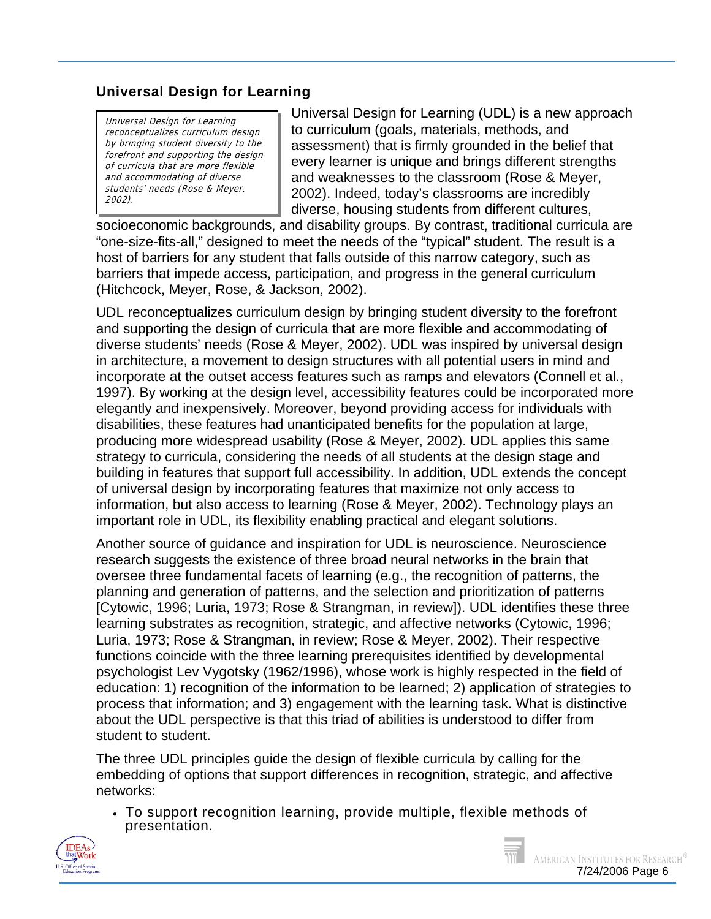### **Universal Design for Learning**

Universal Design for Learning reconceptualizes curriculum design by bringing student diversity to the forefront and supporting the design of curricula that are more flexible and accommodating of diverse students' needs (Rose & Meyer , 2002).

Universal Design for Learning (UDL) is a new approach to curriculum (goals, materials, methods, and assessment) that is firmly grounded in the belief that every learner is unique and brings different strengths and weaknesses to the classroom (Rose & Meyer, 2002). Indeed, today's classrooms are incredibly diverse, housing students from different cultures,

socioeconomic backgrounds, and disability groups. By contrast, traditional curricula are "one-size-fits-all," designed to meet the needs of the "typical" student. The result is a host of barriers for any student that falls outside of this narrow category, such as barriers that impede access, participation, and progress in the general curriculum (Hitchcock, Meyer, Rose, & Jackson, 2002).

UDL reconceptualizes curriculum design by bringing student diversity to the forefront and supporting the design of curricula that are more flexible and accommodating of diverse students' needs (Rose & Meyer, 2002). UDL was inspired by universal design in architecture, a movement to design structures with all potential users in mind and incorporate at the outset access features such as ramps and elevators (Connell et al., 1997). By working at the design level, accessibility features could be incorporated more elegantly and inexpensively. Moreover, beyond providing access for individuals with disabilities, these features had unanticipated benefits for the population at large, producing more widespread usability (Rose & Meyer, 2002). UDL applies this same strategy to curricula, considering the needs of all students at the design stage and building in features that support full accessibility. In addition, UDL extends the concept of universal design by incorporating features that maximize not only access to information, but also access to learning (Rose & Meyer, 2002). Technology plays an important role in UDL, its flexibility enabling practical and elegant solutions.

Another source of guidance and inspiration for UDL is neuroscience. Neuroscience research suggests the existence of three broad neural networks in the brain that oversee three fundamental facets of learning (e.g., the recognition of patterns, the planning and generation of patterns, and the selection and prioritization of patterns [Cytowic, 1996; Luria, 1973; Rose & Strangman, in review]). UDL identifies these three learning substrates as recognition, strategic, and affective networks (Cytowic, 1996; Luria, 1973; Rose & Strangman, in review; Rose & Meyer, 2002). Their respective functions coincide with the three learning prerequisites identified by developmental psychologist Lev Vygotsky (1962/1996), whose work is highly respected in the field of education: 1) recognition of the information to be learned; 2) application of strategies to process that information; and 3) engagement with the learning task. What is distinctive about the UDL perspective is that this triad of abilities is understood to differ from student to student.

The three UDL principles guide the design of flexible curricula by calling for the embedding of options that support differences in recognition, strategic, and affective networks:

• To support recognition learning, provide multiple, flexible methods of presentation.



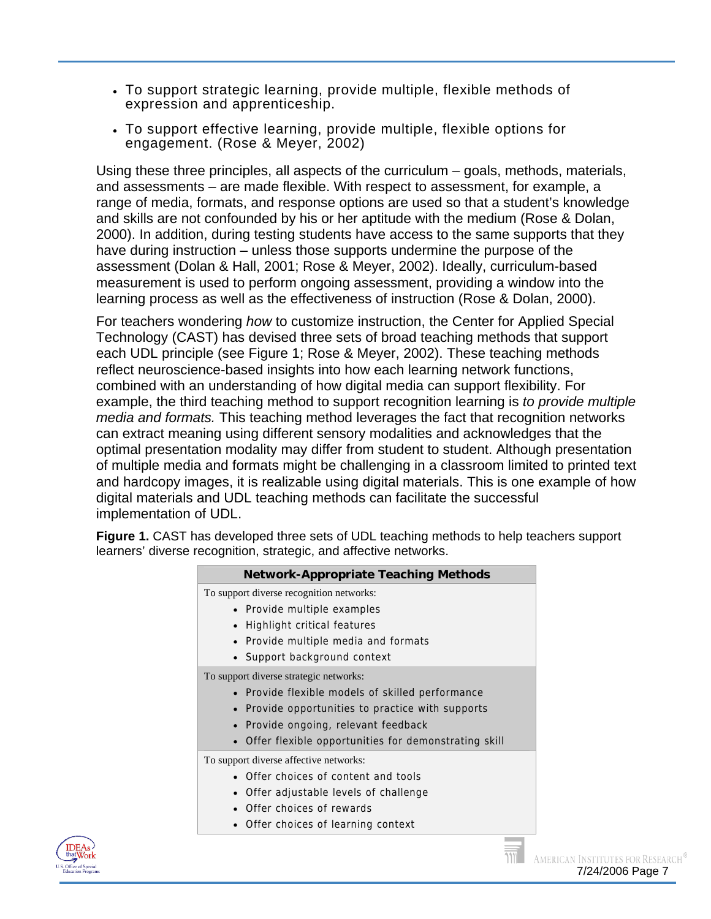- To support strategic learning, provide multiple, flexible methods of expression and apprenticeship.
- To support effective learning, provide multiple, flexible options for engagement. (Rose & Meyer, 2002)

Using these three principles, all aspects of the curriculum – goals, methods, materials, and assessments – are made flexible. With respect to assessment, for example, a range of media, formats, and response options are used so that a student's knowledge and skills are not confounded by his or her aptitude with the medium (Rose & Dolan, 2000). In addition, during testing students have access to the same supports that they have during instruction – unless those supports undermine the purpose of the assessment (Dolan & Hall, 2001; Rose & Meyer, 2002). Ideally, curriculum-based measurement is used to perform ongoing assessment, providing a window into the learning process as well as the effectiveness of instruction (Rose & Dolan, 2000).

For teachers wondering *how* to customize instruction, the Center for Applied Special Technology (CAST) has devised three sets of broad teaching methods that support each UDL principle (see Figure 1; Rose & Meyer, 2002). These teaching methods reflect neuroscience-based insights into how each learning network functions, combined with an understanding of how digital media can support flexibility. For example, the third teaching method to support recognition learning is *to provide multiple media and formats.* This teaching method leverages the fact that recognition networks can extract meaning using different sensory modalities and acknowledges that the optimal presentation modality may differ from student to student. Although presentation of multiple media and formats might be challenging in a classroom limited to printed text and hardcopy images, it is realizable using digital materials. This is one example of how digital materials and UDL teaching methods can facilitate the successful implementation of UDL.

**Figure 1.** CAST has developed three sets of UDL teaching methods to help teachers support learners' diverse recognition, strategic, and affective networks.

| <b>Network-Appropriate Teaching Methods</b>          |
|------------------------------------------------------|
| To support diverse recognition networks:             |
| • Provide multiple examples                          |
| Highlight critical features                          |
| • Provide multiple media and formats                 |
| • Support background context                         |
| To support diverse strategic networks:               |
| • Provide flexible models of skilled performance     |
| Provide opportunities to practice with supports      |
| Provide ongoing, relevant feedback                   |
| Offer flexible opportunities for demonstrating skill |
| To support diverse affective networks:               |
| Offer choices of content and tools                   |
| Offer adjustable levels of challenge                 |
| • Offer choices of rewards                           |
| • Offer choices of learning context                  |
|                                                      |

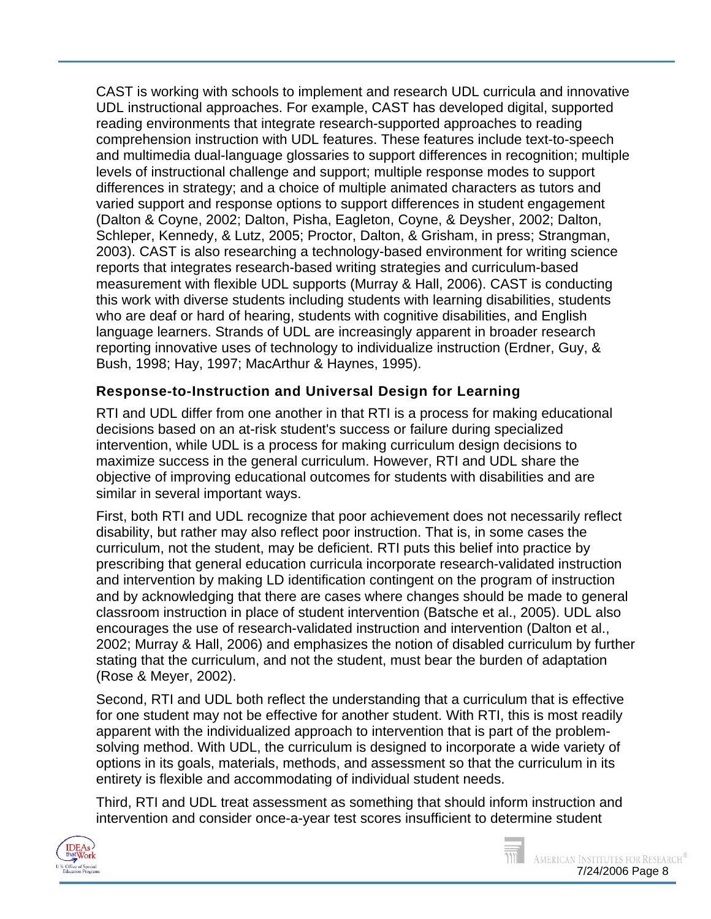CAST is working with schools to implement and research UDL curricula and innovative UDL instructional approaches. For example, CAST has developed digital, supported reading environments that integrate research-supported approaches to reading comprehension instruction with UDL features. These features include text-to-speech and multimedia dual-language glossaries to support differences in recognition; multiple levels of instructional challenge and support; multiple response modes to support differences in strategy; and a choice of multiple animated characters as tutors and varied support and response options to support differences in student engagement (Dalton & Coyne, 2002; Dalton, Pisha, Eagleton, Coyne, & Deysher, 2002; Dalton, Schleper, Kennedy, & Lutz, 2005; Proctor, Dalton, & Grisham, in press; Strangman, 2003). CAST is also researching a technology-based environment for writing science reports that integrates research-based writing strategies and curriculum-based measurement with flexible UDL supports (Murray & Hall, 2006). CAST is conducting this work with diverse students including students with learning disabilities, students who are deaf or hard of hearing, students with cognitive disabilities, and English language learners. Strands of UDL are increasingly apparent in broader research reporting innovative uses of technology to individualize instruction (Erdner, Guy, & Bush, 1998; Hay, 1997; MacArthur & Haynes, 1995).

## **Response-to-Instruction and Universal Design for Learning**

RTI and UDL differ from one another in that RTI is a process for making educational decisions based on an at-risk student's success or failure during specialized intervention, while UDL is a process for making curriculum design decisions to maximize success in the general curriculum. However, RTI and UDL share the objective of improving educational outcomes for students with disabilities and are similar in several important ways.

First, both RTI and UDL recognize that poor achievement does not necessarily reflect disability, but rather may also reflect poor instruction. That is, in some cases the curriculum, not the student, may be deficient. RTI puts this belief into practice by prescribing that general education curricula incorporate research-validated instruction and intervention by making LD identification contingent on the program of instruction and by acknowledging that there are cases where changes should be made to general classroom instruction in place of student intervention (Batsche et al., 2005). UDL also encourages the use of research-validated instruction and intervention (Dalton et al., 2002; Murray & Hall, 2006) and emphasizes the notion of disabled curriculum by further stating that the curriculum, and not the student, must bear the burden of adaptation (Rose & Meyer, 2002).

Second, RTI and UDL both reflect the understanding that a curriculum that is effective for one student may not be effective for another student. With RTI, this is most readily apparent with the individualized approach to intervention that is part of the problemsolving method. With UDL, the curriculum is designed to incorporate a wide variety of options in its goals, materials, methods, and assessment so that the curriculum in its entirety is flexible and accommodating of individual student needs.

Third, RTI and UDL treat assessment as something that should inform instruction and intervention and consider once-a-year test scores insufficient to determine student

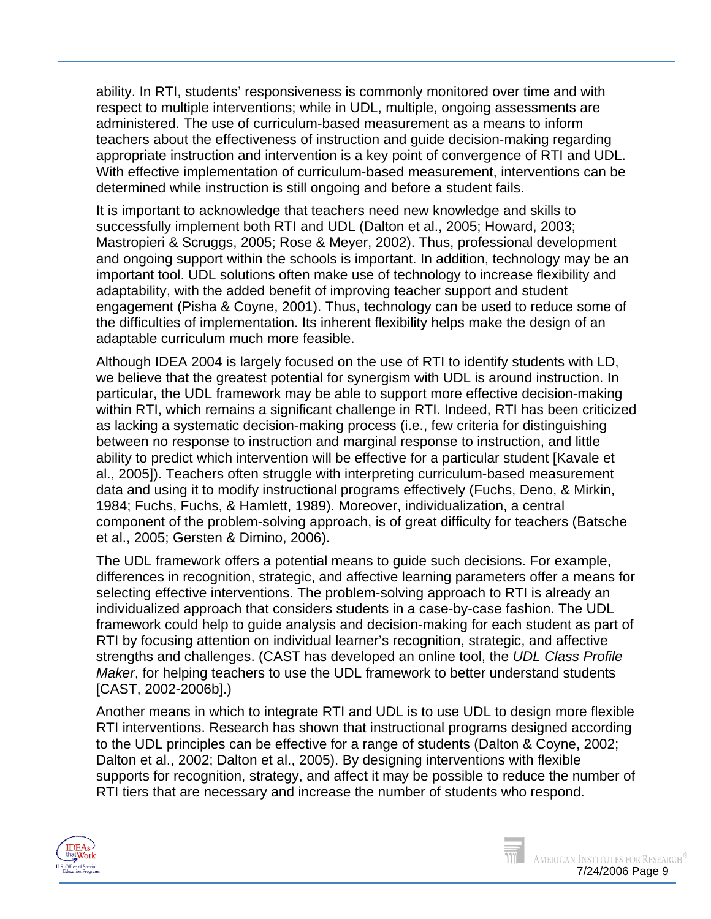ability. In RTI, students' responsiveness is commonly monitored over time and with respect to multiple interventions; while in UDL, multiple, ongoing assessments are administered. The use of curriculum-based measurement as a means to inform teachers about the effectiveness of instruction and guide decision-making regarding appropriate instruction and intervention is a key point of convergence of RTI and UDL. With effective implementation of curriculum-based measurement, interventions can be determined while instruction is still ongoing and before a student fails.

It is important to acknowledge that teachers need new knowledge and skills to successfully implement both RTI and UDL (Dalton et al., 2005; Howard, 2003; Mastropieri & Scruggs, 2005; Rose & Meyer, 2002). Thus, professional development and ongoing support within the schools is important. In addition, technology may be an important tool. UDL solutions often make use of technology to increase flexibility and adaptability, with the added benefit of improving teacher support and student engagement (Pisha & Coyne, 2001). Thus, technology can be used to reduce some of the difficulties of implementation. Its inherent flexibility helps make the design of an adaptable curriculum much more feasible.

Although IDEA 2004 is largely focused on the use of RTI to identify students with LD, we believe that the greatest potential for synergism with UDL is around instruction. In particular, the UDL framework may be able to support more effective decision-making within RTI, which remains a significant challenge in RTI. Indeed, RTI has been criticized as lacking a systematic decision-making process (i.e., few criteria for distinguishing between no response to instruction and marginal response to instruction, and little ability to predict which intervention will be effective for a particular student [Kavale et al., 2005]). Teachers often struggle with interpreting curriculum-based measurement data and using it to modify instructional programs effectively (Fuchs, Deno, & Mirkin, 1984; Fuchs, Fuchs, & Hamlett, 1989). Moreover, individualization, a central component of the problem-solving approach, is of great difficulty for teachers (Batsche et al., 2005; Gersten & Dimino, 2006).

The UDL framework offers a potential means to guide such decisions. For example, differences in recognition, strategic, and affective learning parameters offer a means for selecting effective interventions. The problem-solving approach to RTI is already an individualized approach that considers students in a case-by-case fashion. The UDL framework could help to guide analysis and decision-making for each student as part of RTI by focusing attention on individual learner's recognition, strategic, and affective strengths and challenges. (CAST has developed an online [tool,](http://www.cast.org/teachingeverystudent/tools/classprofile.cfm) the *UDL Class Profile Maker*, for helping teachers to use the UDL framework to better understand students [CAST, 2002-2006b].)

Another means in which to integrate RTI and UDL is to use UDL to design more flexible RTI interventions. Research has shown that instructional programs designed according to the UDL principles can be effective for a range of students (Dalton & Coyne, 2002; Dalton et al., 2002; Dalton et al., 2005). By designing interventions with flexible supports for recognition, strategy, and affect it may be possible to reduce the number of RTI tiers that are necessary and increase the number of students who respond.

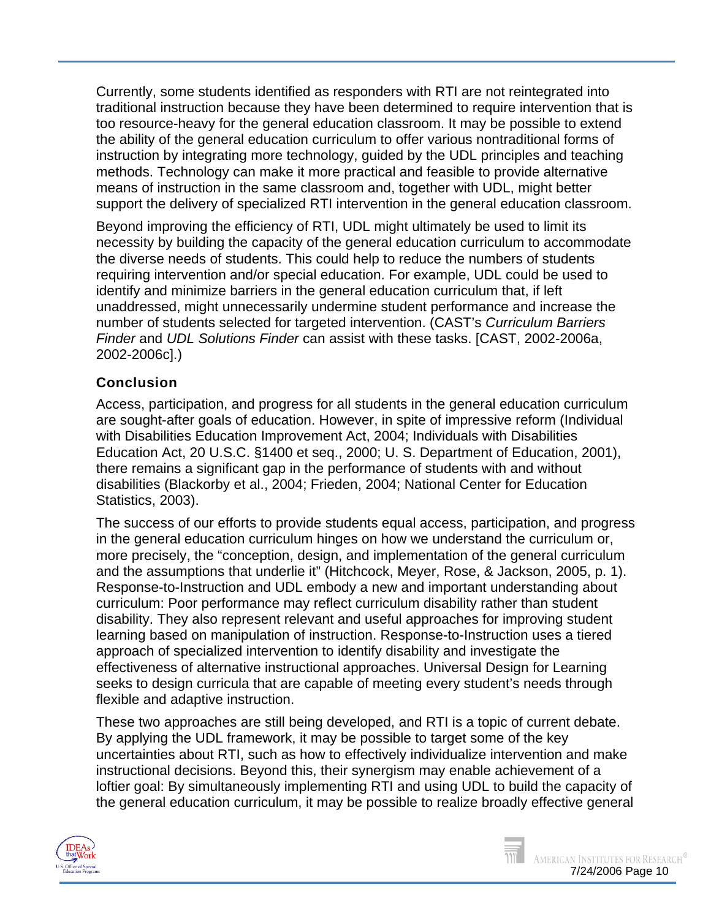Currently, some students identified as responders with RTI are not reintegrated into traditional instruction because they have been determined to require intervention that is too resource-heavy for the general education classroom. It may be possible to extend the ability of the general education curriculum to offer various nontraditional forms of instruction by integrating more technology, guided by the UDL principles and teaching methods. Technology can make it more practical and feasible to provide alternative means of instruction in the same classroom and, together with UDL, might better support the delivery of specialized RTI intervention in the general education classroom.

Beyond improving the efficiency of RTI, UDL might ultimately be used to limit its necessity by building the capacity of the general education curriculum to accommodate the diverse needs of students. This could help to reduce the numbers of students requiring intervention and/or special education. For example, UDL could be used to identify and minimize barriers in the general education curriculum that, if left unaddressed, might unnecessarily undermine student performance and increase the number of students selected for targeted intervention. (CAST's *[Curriculum Barriers](http://www.cast.org/teachingeverystudent/tools/curriculumbarriers.cfm)  [Finder](http://www.cast.org/teachingeverystudent/tools/curriculumbarriers.cfm)* and *[UDL Solutions Finder](http://www.cast.org/teachingeverystudent/tools/udlsolutionsfinder.cfm)* can assist with these tasks. [CAST, 2002-2006a, 2002-2006c].)

### **Conclusion**

Access, participation, and progress for all students in the general education curriculum are sought-after goals of education. However, in spite of impressive reform (Individual with Disabilities Education Improvement Act, 2004; Individuals with Disabilities Education Act, 20 U.S.C. §1400 et seq., 2000; U. S. Department of Education, 2001), there remains a significant gap in the performance of students with and without disabilities (Blackorby et al., 2004; Frieden, 2004; National Center for Education Statistics, 2003).

The success of our efforts to provide students equal access, participation, and progress in the general education curriculum hinges on how we understand the curriculum or, more precisely, the "conception, design, and implementation of the general curriculum and the assumptions that underlie it" (Hitchcock, Meyer, Rose, & Jackson, 2005, p. 1). Response-to-Instruction and UDL embody a new and important understanding about curriculum: Poor performance may reflect curriculum disability rather than student disability. They also represent relevant and useful approaches for improving student learning based on manipulation of instruction. Response-to-Instruction uses a tiered approach of specialized intervention to identify disability and investigate the effectiveness of alternative instructional approaches. Universal Design for Learning seeks to design curricula that are capable of meeting every student's needs through flexible and adaptive instruction.

These two approaches are still being developed, and RTI is a topic of current debate. By applying the UDL framework, it may be possible to target some of the key uncertainties about RTI, such as how to effectively individualize intervention and make instructional decisions. Beyond this, their synergism may enable achievement of a loftier goal: By simultaneously implementing RTI and using UDL to build the capacity of the general education curriculum, it may be possible to realize broadly effective general



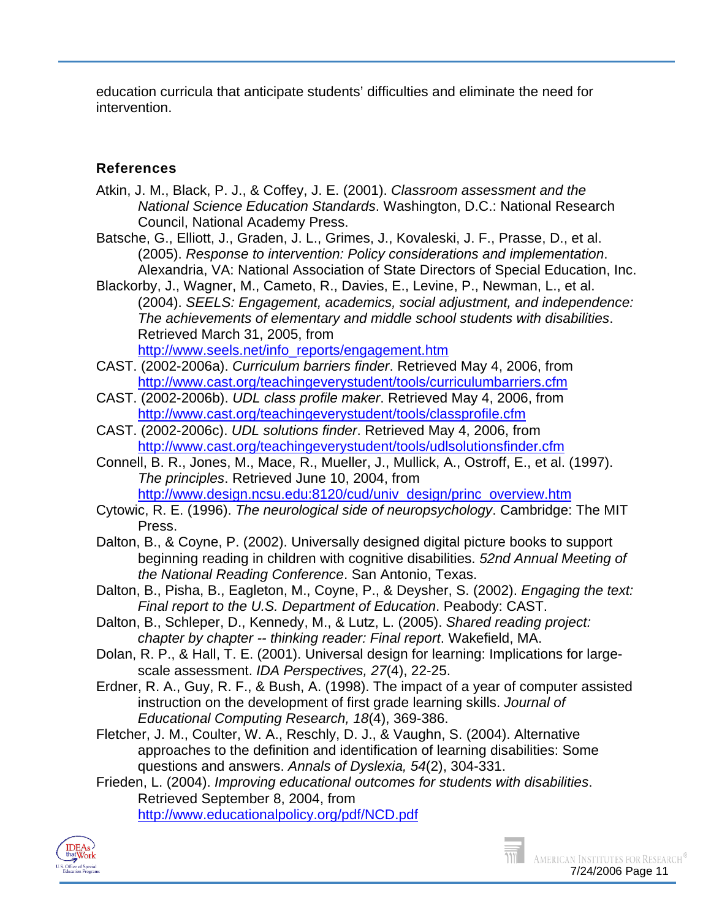education curricula that anticipate students' difficulties and eliminate the need for intervention.

### **References**

- Atkin, J. M., Black, P. J., & Coffey, J. E. (2001). *Classroom assessment and the National Science Education Standards*. Washington, D.C.: National Research Council, National Academy Press.
- Batsche, G., Elliott, J., Graden, J. L., Grimes, J., Kovaleski, J. F., Prasse, D., et al. (2005). *Response to intervention: Policy considerations and implementation*. Alexandria, VA: National Association of State Directors of Special Education, Inc.
- Blackorby, J., Wagner, M., Cameto, R., Davies, E., Levine, P., Newman, L., et al. (2004). *SEELS: Engagement, academics, social adjustment, and independence: The achievements of elementary and middle school students with disabilities*. Retrieved March 31, 2005, from [http://www.seels.net/info\\_reports/engagement.htm](http://www.seels.net/info_reports/engagement.htm)
- CAST. (2002-2006a). *Curriculum barriers finder*. Retrieved May 4, 2006, from <http://www.cast.org/teachingeverystudent/tools/curriculumbarriers.cfm>
- CAST. (2002-2006b). *UDL class profile maker*. Retrieved May 4, 2006, from <http://www.cast.org/teachingeverystudent/tools/classprofile.cfm>
- CAST. (2002-2006c). *UDL solutions finder*. Retrieved May 4, 2006, from <http://www.cast.org/teachingeverystudent/tools/udlsolutionsfinder.cfm>
- Connell, B. R., Jones, M., Mace, R., Mueller, J., Mullick, A., Ostroff, E., et al. (1997). *The principles*. Retrieved June 10, 2004, from [http://www.design.ncsu.edu:8120/cud/univ\\_design/princ\\_overview.htm](http://www.design.ncsu.edu:8120/cud/univ_design/princ_overview.htm)
- Cytowic, R. E. (1996). *The neurological side of neuropsychology*. Cambridge: The MIT Press.
- Dalton, B., & Coyne, P. (2002). Universally designed digital picture books to support beginning reading in children with cognitive disabilities. *52nd Annual Meeting of the National Reading Conference*. San Antonio, Texas.
- Dalton, B., Pisha, B., Eagleton, M., Coyne, P., & Deysher, S. (2002). *Engaging the text: Final report to the U.S. Department of Education*. Peabody: CAST.
- Dalton, B., Schleper, D., Kennedy, M., & Lutz, L. (2005). *Shared reading project: chapter by chapter -- thinking reader: Final report*. Wakefield, MA.
- Dolan, R. P., & Hall, T. E. (2001). Universal design for learning: Implications for largescale assessment. *IDA Perspectives, 27*(4), 22-25.
- Erdner, R. A., Guy, R. F., & Bush, A. (1998). The impact of a year of computer assisted instruction on the development of first grade learning skills. *Journal of Educational Computing Research, 18*(4), 369-386.
- Fletcher, J. M., Coulter, W. A., Reschly, D. J., & Vaughn, S. (2004). Alternative approaches to the definition and identification of learning disabilities: Some questions and answers. *Annals of Dyslexia, 54*(2), 304-331.
- Frieden, L. (2004). *Improving educational outcomes for students with disabilities*. Retrieved September 8, 2004, from <http://www.educationalpolicy.org/pdf/NCD.pdf>



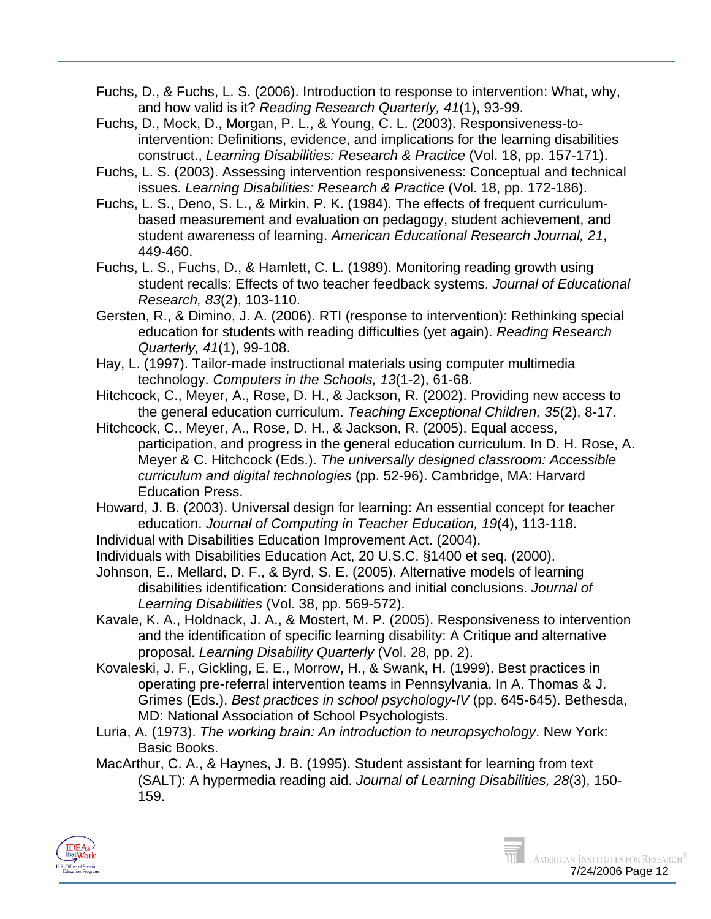- Fuchs, D., & Fuchs, L. S. (2006). Introduction to response to intervention: What, why, and how valid is it? *Reading Research Quarterly, 41*(1), 93-99.
- Fuchs, D., Mock, D., Morgan, P. L., & Young, C. L. (2003). Responsiveness-tointervention: Definitions, evidence, and implications for the learning disabilities construct., *Learning Disabilities: Research & Practice* (Vol. 18, pp. 157-171).
- Fuchs, L. S. (2003). Assessing intervention responsiveness: Conceptual and technical issues. *Learning Disabilities: Research & Practice* (Vol. 18, pp. 172-186).
- Fuchs, L. S., Deno, S. L., & Mirkin, P. K. (1984). The effects of frequent curriculumbased measurement and evaluation on pedagogy, student achievement, and student awareness of learning. *American Educational Research Journal, 21*, 449-460.
- Fuchs, L. S., Fuchs, D., & Hamlett, C. L. (1989). Monitoring reading growth using student recalls: Effects of two teacher feedback systems. *Journal of Educational Research, 83*(2), 103-110.
- Gersten, R., & Dimino, J. A. (2006). RTI (response to intervention): Rethinking special education for students with reading difficulties (yet again). *Reading Research Quarterly, 41*(1), 99-108.
- Hay, L. (1997). Tailor-made instructional materials using computer multimedia technology. *Computers in the Schools, 13*(1-2), 61-68.
- Hitchcock, C., Meyer, A., Rose, D. H., & Jackson, R. (2002). Providing new access to the general education curriculum. *Teaching Exceptional Children, 35*(2), 8-17.
- Hitchcock, C., Meyer, A., Rose, D. H., & Jackson, R. (2005). Equal access, participation, and progress in the general education curriculum. In D. H. Rose, A. Meyer & C. Hitchcock (Eds.). *The universally designed classroom: Accessible curriculum and digital technologies* (pp. 52-96). Cambridge, MA: Harvard Education Press.
- Howard, J. B. (2003). Universal design for learning: An essential concept for teacher education. *Journal of Computing in Teacher Education, 19*(4), 113-118.
- Individual with Disabilities Education Improvement Act. (2004).
- Individuals with Disabilities Education Act, 20 U.S.C. §1400 et seq. (2000).
- Johnson, E., Mellard, D. F., & Byrd, S. E. (2005). Alternative models of learning disabilities identification: Considerations and initial conclusions. *Journal of Learning Disabilities* (Vol. 38, pp. 569-572).
- Kavale, K. A., Holdnack, J. A., & Mostert, M. P. (2005). Responsiveness to intervention and the identification of specific learning disability: A Critique and alternative proposal. *Learning Disability Quarterly* (Vol. 28, pp. 2).
- Kovaleski, J. F., Gickling, E. E., Morrow, H., & Swank, H. (1999). Best practices in operating pre-referral intervention teams in Pennsylvania. In A. Thomas & J. Grimes (Eds.). *Best practices in school psychology-IV* (pp. 645-645). Bethesda, MD: National Association of School Psychologists.
- Luria, A. (1973). *The working brain: An introduction to neuropsychology*. New York: Basic Books.
- MacArthur, C. A., & Haynes, J. B. (1995). Student assistant for learning from text (SALT): A hypermedia reading aid. *Journal of Learning Disabilities, 28*(3), 150- 159.



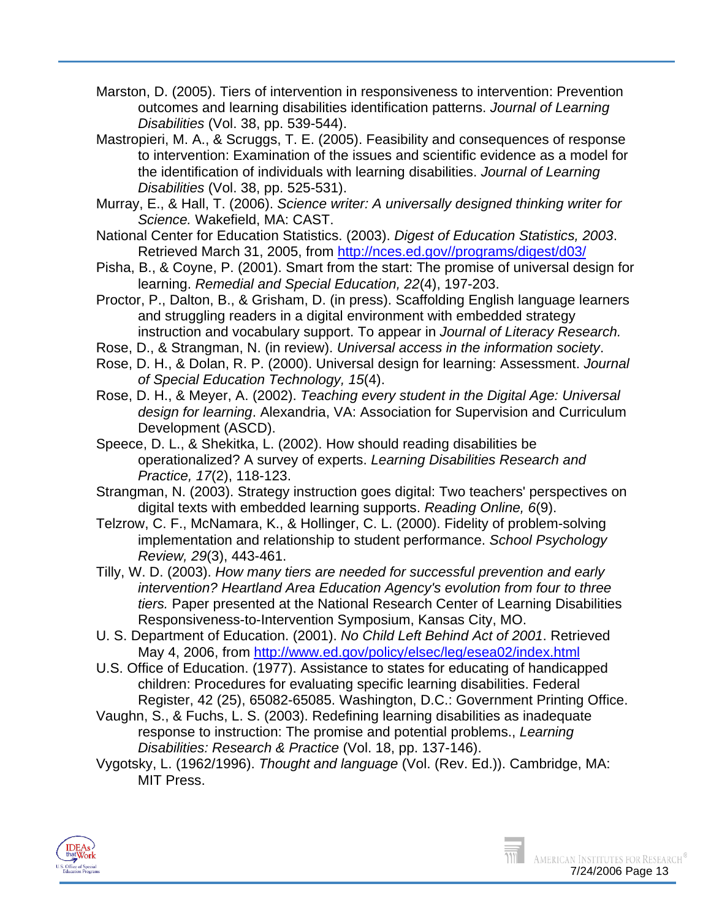- Marston, D. (2005). Tiers of intervention in responsiveness to intervention: Prevention outcomes and learning disabilities identification patterns. *Journal of Learning Disabilities* (Vol. 38, pp. 539-544).
- Mastropieri, M. A., & Scruggs, T. E. (2005). Feasibility and consequences of response to intervention: Examination of the issues and scientific evidence as a model for the identification of individuals with learning disabilities. *Journal of Learning Disabilities* (Vol. 38, pp. 525-531).
- Murray, E., & Hall, T. (2006). *Science writer: A universally designed thinking writer for Science.* Wakefield, MA: CAST.
- National Center for Education Statistics. (2003). *Digest of Education Statistics, 2003*. Retrieved March 31, 2005, from [http://nces.ed.gov//programs/digest/d03/](http://nces.ed.gov/programs/digest/d03/)
- Pisha, B., & Coyne, P. (2001). Smart from the start: The promise of universal design for learning. *Remedial and Special Education, 22*(4), 197-203.
- Proctor, P., Dalton, B., & Grisham, D. (in press). Scaffolding English language learners and struggling readers in a digital environment with embedded strategy instruction and vocabulary support. To appear in *Journal of Literacy Research.*
- Rose, D., & Strangman, N. (in review). *Universal access in the information society*.
- Rose, D. H., & Dolan, R. P. (2000). Universal design for learning: Assessment. *Journal of Special Education Technology, 15*(4).
- Rose, D. H., & Meyer, A. (2002). *Teaching every student in the Digital Age: Universal design for learning*. Alexandria, VA: Association for Supervision and Curriculum Development (ASCD).
- Speece, D. L., & Shekitka, L. (2002). How should reading disabilities be operationalized? A survey of experts. *Learning Disabilities Research and Practice, 17*(2), 118-123.
- Strangman, N. (2003). Strategy instruction goes digital: Two teachers' perspectives on digital texts with embedded learning supports. *Reading Online, 6*(9).
- Telzrow, C. F., McNamara, K., & Hollinger, C. L. (2000). Fidelity of problem-solving implementation and relationship to student performance. *School Psychology Review, 29*(3), 443-461.
- Tilly, W. D. (2003). *How many tiers are needed for successful prevention and early intervention? Heartland Area Education Agency's evolution from four to three tiers.* Paper presented at the National Research Center of Learning Disabilities Responsiveness-to-Intervention Symposium, Kansas City, MO.
- U. S. Department of Education. (2001). *No Child Left Behind Act of 2001*. Retrieved May 4, 2006, from <http://www.ed.gov/policy/elsec/leg/esea02/index.html>
- U.S. Office of Education. (1977). Assistance to states for educating of handicapped children: Procedures for evaluating specific learning disabilities. Federal Register, 42 (25), 65082-65085. Washington, D.C.: Government Printing Office.
- Vaughn, S., & Fuchs, L. S. (2003). Redefining learning disabilities as inadequate response to instruction: The promise and potential problems., *Learning Disabilities: Research & Practice* (Vol. 18, pp. 137-146).
- Vygotsky, L. (1962/1996). *Thought and language* (Vol. (Rev. Ed.)). Cambridge, MA: MIT Press.